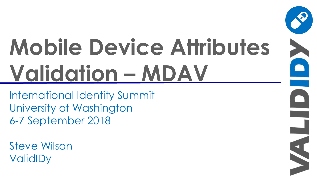# **Mobile Device Attributes Validation – MDAV**

S

International Identity Summit University of Washington 6-7 September 2018

Steve Wilson **ValidIDy**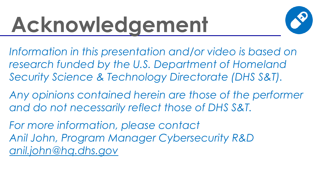### **Acknowledgement**



*Information in this presentation and/or video is based on research funded by the U.S. Department of Homeland Security Science & Technology Directorate (DHS S&T).*

*Any opinions contained herein are those of the performer and do not necessarily reflect those of DHS S&T.*

*For more information, please contact Anil John, Program Manager Cybersecurity R&D [anil.john@hq.dhs.gov](mailto:anil.john@hq.dhs.gov)*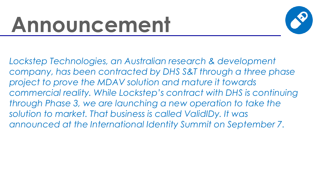### **Announcement**



*Lockstep Technologies, an Australian research & development company, has been contracted by DHS S&T through a three phase project to prove the MDAV solution and mature it towards commercial reality. While Lockstep's contract with DHS is continuing through Phase 3, we are launching a new operation to take the solution to market. That business is called ValidIDy. It was announced at the International Identity Summit on September 7.*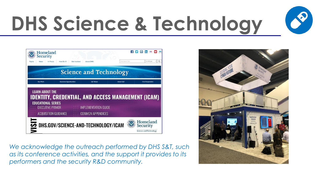

### **DHS Science & Technology**



*We acknowledge the outreach performed by DHS S&T, such as its conference activities, and the support it provides to its performers and the security R&D community.* 

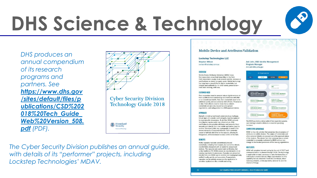# **DHS Science & Technology**





**Cyber Security Division Technology Guide 2018** 



*The Cyber Security Division publishes an annual guide, with details of its "performer" projects, including Lockstep Technologies' MDAV.* 

### **Mobile Device and Attributes Validation**

### **Lockstep Technologies LLC**

Stephen Wilson swilson@lockstep.com.au

### **OVERVIEW**

Mobile Device Attributes Validation (MDAV) helps first responders prove their bona fides in the field. First responders usually must present permits, licenses or certifications on plastic or paper cards. Mobile technology has long been a possibility for digital credentials, but integrity and authenticity-in other words, provenancehave been missing, until now.

### **CUSTOMER NEED**

First responders need to present robust digital versions of their qualifications in demanding circumstances with little or no network bandwidth. And, their credentials need to be validated quickly and accurately by field officers. Provenance is vital. Field officers need to know that a visitor's credentials are genuine, issued by a recognized organization, and safeguarded in a DHS-approved device.

### **APPROACH**

Digitally mimicking traditional credentials is a challenge. Visual signs of a plastic card's integrity must be replaced by cryptographic provenance. To do this, MDAV uniquely reconfigures regular public key infrastructure (PKI) certificates to encapsulate attributes and presents them securely and directly from one mobile application (app) to another. Standard public key cryptography is used in the secure elements of approved devices. Each credential issuer is faithfully identified in the capsule, allowing for fine-grained, attributes-based access control in the field.

### **RENFFITS**

MDAV capsules replicate conventionally issued credentials, including their issuers, but cannot be cloned, counterfeited, tampered with or loaded to unapproved devices. The capsules are customized certificates, but unlike traditional PKI MDAV places no new demands on an issuing organization's processes. Capsules are presented directly from one MDAV app to another and cryptographically verified locally, quickly and accurately. If appropriate cansules can be entirely anonymous for application in sensitive applications like e-health and voting.

Anil John, CSD Identity Management **Program Manager** Anil.John@hg.dhs.gov



The MDAV app holds a didital wallet of first responder capsules. each holding a validated attribute or credential specifying the issuer

### **COMPETITIVE ADVANTAGE**

MDAV is the only solution that preserves the provenance of attributes in mobile devices. The origins of credentials and other personal details are assured as is the approval status. of the devices. The simple fact that someone has a certain credential is accurately replicated by MDAV without any change to the trusted processes of the issuing organization.

### **NEXT STEPS**

MDAV will complete internal testing by the end of 2017 and commercialization is planned through 2018. The technology is applicable to many use-cases to carry the bona fides of individuals in mobile devices. Major opportunities for this capability include electronic travel documentation, driver licensing, e-health, online payments, national ID, and the internet of things.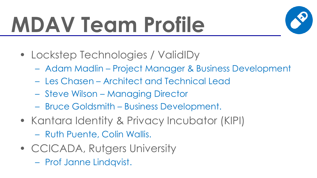## **MDAV Team Profile**



- Lockstep Technologies / ValidIDy
	- Adam Madlin Project Manager & Business Development
	- Les Chasen Architect and Technical Lead
	- Steve Wilson Managing Director
	- Bruce Goldsmith Business Development.
- Kantara Identity & Privacy Incubator (KIPI)
	- Ruth Puente, Colin Wallis.
- CCICADA, Rutgers University
	- Prof Janne Lindqvist.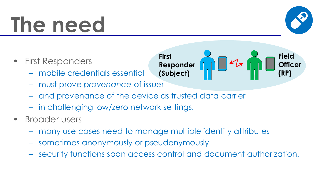### **The need**



- First Responders
	- mobile credentials essential
	- must prove *provenance* of issuer
	- and provenance of the device as trusted data carrier
	- in challenging low/zero network settings.
- Broader users
	- many use cases need to manage multiple identity attributes
	- sometimes anonymously or pseudonymously
	- security functions span access control and document authorization.

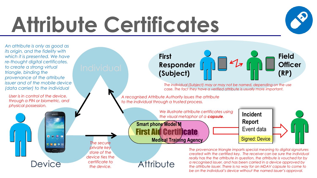### **Attribute Certificates**



*the attribute issuer. There is no way for an MDAV capsule to come to be on the individual's device without the named issuer's approval.*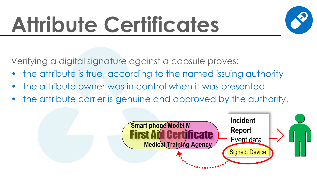## **Attribute Certificates**



Verifying a digital signature against a capsule proves:

- the attribute is true, according to the named issuing authority
- the attribute owner was in control when it was presented
- the attribute carrier is genuine and approved by the authority.

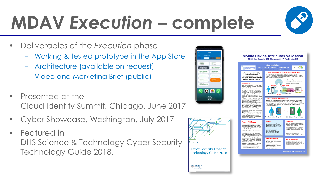

### **MDAV** *Execution* **– complete**

- Deliverables of the *Execution* phase
	- Working & tested prototype in the App Store
	- Architecture (available on request)
	- Video and Marketing Brief (public)
- Presented at the Cloud Identity Summit, Chicago, June 2017
- Cyber Showcase, Washington, July 2017
- Featured in DHS Science & Technology Cyber Security Technology Guide 2018.

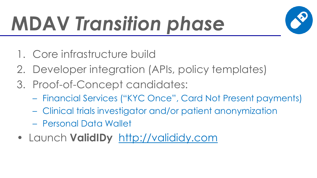### **MDAV** *Transition phase*



- 1. Core infrastructure build
- 2. Developer integration (APIs, policy templates)
- 3. Proof-of-Concept candidates:
	- Financial Services ("KYC Once", Card Not Present payments)
	- Clinical trials investigator and/or patient anonymization
	- Personal Data Wallet
- Launch **ValidIDy** http://valididy.com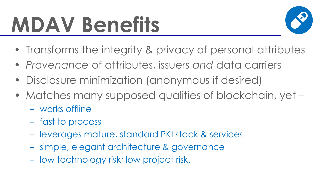### **MDAV Benefits**



- Transforms the integrity & privacy of personal attributes
- *Provenance* of attributes, issuers *and* data carriers
- Disclosure minimization (anonymous if desired)
- Matches many supposed qualities of blockchain, yet -
	- works offline
	- fast to process
	- leverages mature, standard PKI stack & services
	- simple, elegant architecture & governance
	- low technology risk; low project risk.